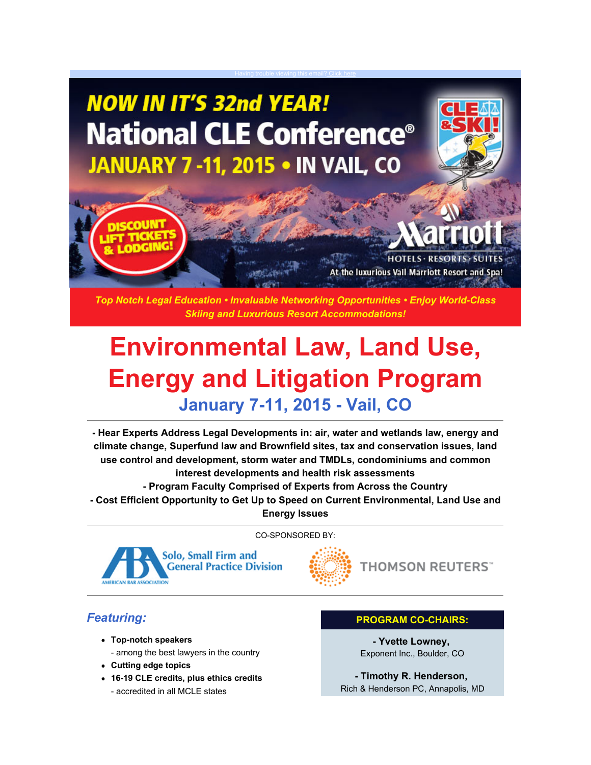# **NOW IN IT'S 32nd YEAR! National CLE Conference<sup>®</sup> JANUARY 7-11, 2015 • IN VAIL, CO**



Having trouble viewing this email[? Click here](http://nationalcleconference.com/) **the contract of the contract of the contract of the contract of th** 

*Top Notch Legal Education • Invaluable Networking Opportunities • Enjoy World-Class Skiing and Luxurious Resort Accommodations!*

# **Environmental Law, Land Use, Energy and Litigation Program January 7-11, 2015 - Vail, CO**

**- Hear Experts Address Legal Developments in: air, water and wetlands law, energy and climate change, Superfund law and Brownfield sites, tax and conservation issues, land use control and development, storm water and TMDLs, condominiums and common interest developments and health risk assessments - Program Faculty Comprised of Experts from Across the Country**

**- Cost Efficient Opportunity to Get Up to Speed on Current Environmental, Land Use and Energy Issues**

CO-SPONSORED BY:



**THOMSON REUTERS**"

### *Featuring:*

- **Top-notch speakers**
	- among the best lawyers in the country
- **Cutting edge topics**
- **16-19 CLE credits, plus ethics credits** - accredited in all MCLE states

#### **PROGRAM CO-CHAIRS:**

**- Yvette Lowney,**  Exponent Inc., Boulder, CO

**- Timothy R. Henderson,**  Rich & Henderson PC, Annapolis, MD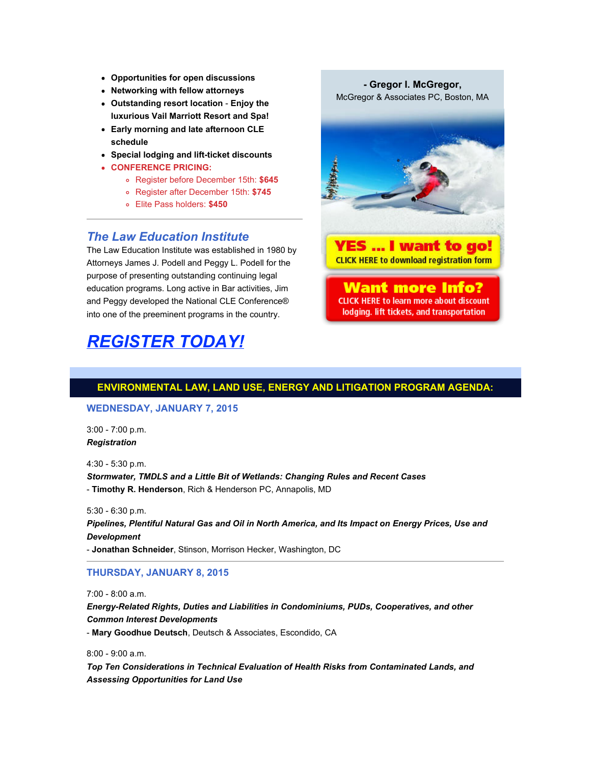- **Opportunities for open discussions**
- **Networking with fellow attorneys**
- **Outstanding resort location Enjoy the luxurious Vail Marriott Resort and Spa!**
- **Early morning and late afternoon CLE schedule**
- **Special lodging and lift-ticket discounts**
- **CONFERENCE PRICING:**
	- Register before December 15th: **\$645**
	- Register after December 15th: **\$745**
	- Elite Pass holders: **\$450**

## **The Law Education Institute**<br>The Law Education Institute was established in 1980 by **YES** ... I want to go!

The Law Education Institute was established in 1980 by **The Law Party of Law Control 1980 by**<br>Attorneys James J. Podell and Peggy J. Podell for the **CLICK HERE to download registration form** Attorneys James J. Podell and Peggy L. Podell for the purpose of presenting outstanding continuing legal education programs. Long active in Bar activities, Jim **Want more Info?** and Peggy developed the National CLE Conference® **CLICK HERE to learn more about discount** into one of the preeminent programs in the country. **The looking of the light of the transportation** 

### *[REGISTER TODAY!](http://nationalcleconference.com/programs/real-estatesustainability/)*

**- Gregor I. McGregor,** McGregor & Associates PC, Boston, MA



#### **ENVIRONMENTAL LAW, LAND USE, ENERGY AND LITIGATION PROGRAM AGENDA:**

#### **WEDNESDAY, JANUARY 7, 2015**

3:00 - 7:00 p.m. *Registration*

4:30 - 5:30 p.m. *Stormwater, TMDLS and a Little Bit of Wetlands: Changing Rules and Recent Cases* - **Timothy R. Henderson**, Rich & Henderson PC, Annapolis, MD

5:30 - 6:30 p.m.

*Pipelines, Plentiful Natural Gas and Oil in North America, and Its Impact on Energy Prices, Use and Development* 

- **Jonathan Schneider**, Stinson, Morrison Hecker, Washington, DC

#### **THURSDAY, JANUARY 8, 2015**

7:00 - 8:00 a.m.

*Energy-Related Rights, Duties and Liabilities in Condominiums, PUDs, Cooperatives, and other Common Interest Developments* - **Mary Goodhue Deutsch**, Deutsch & Associates, Escondido, CA

8:00 - 9:00 a.m.

*Top Ten Considerations in Technical Evaluation of Health Risks from Contaminated Lands, and Assessing Opportunities for Land Use*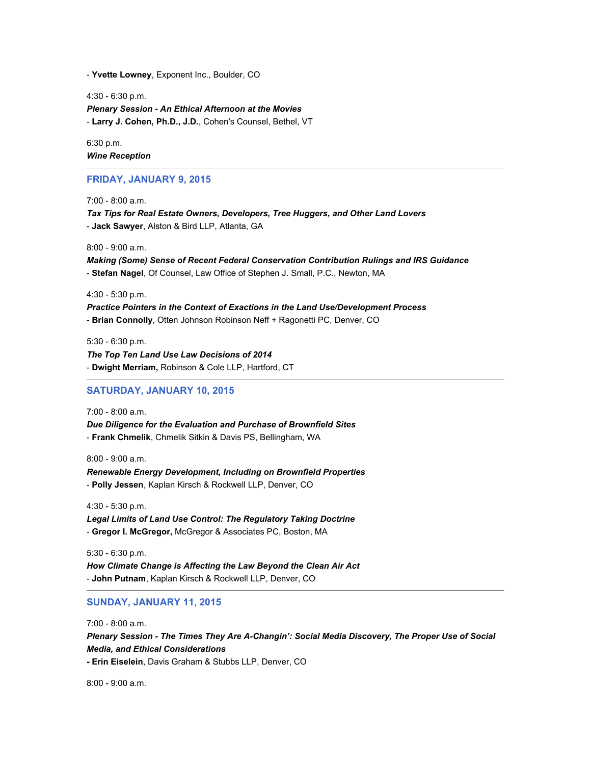- **Yvette Lowney**, Exponent Inc., Boulder, CO

4:30 - 6:30 p.m. *Plenary Session - An Ethical Afternoon at the Movies* - **Larry J. Cohen, Ph.D., J.D.**, Cohen's Counsel, Bethel, VT

6:30 p.m. *Wine Reception*

#### **FRIDAY, JANUARY 9, 2015**

7:00 - 8:00 a.m.

*Tax Tips for Real Estate Owners, Developers, Tree Huggers, and Other Land Lovers* - **Jack Sawyer**, Alston & Bird LLP, Atlanta, GA

8:00 - 9:00 a.m.

*Making (Some) Sense of Recent Federal Conservation Contribution Rulings and IRS Guidance* - **Stefan Nagel**, Of Counsel, Law Office of Stephen J. Small, P.C., Newton, MA

4:30 - 5:30 p.m.

*Practice Pointers in the Context of Exactions in the Land Use/Development Process* - **Brian Connolly**, Otten Johnson Robinson Neff + Ragonetti PC, Denver, CO

5:30 - 6:30 p.m.

*The Top Ten Land Use Law Decisions of 2014* - **Dwight Merriam,** Robinson & Cole LLP, Hartford, CT

#### **SATURDAY, JANUARY 10, 2015**

7:00 - 8:00 a.m. *Due Diligence for the Evaluation and Purchase of Brownfield Sites* - **Frank Chmelik**, Chmelik Sitkin & Davis PS, Bellingham, WA

8:00 - 9:00 a.m. *Renewable Energy Development, Including on Brownfield Properties* - **Polly Jessen**, Kaplan Kirsch & Rockwell LLP, Denver, CO

4:30 - 5:30 p.m. *Legal Limits of Land Use Control: The Regulatory Taking Doctrine* - **Gregor I. McGregor,** McGregor & Associates PC, Boston, MA

5:30 - 6:30 p.m. *How Climate Change is Affecting the Law Beyond the Clean Air Act* - **John Putnam**, Kaplan Kirsch & Rockwell LLP, Denver, CO

**SUNDAY, JANUARY 11, 2015**

7:00 - 8:00 a.m. *Plenary Session - The Times They Are A-Changin': Social Media Discovery, The Proper Use of Social Media, and Ethical Considerations* **- Erin Eiselein**, Davis Graham & Stubbs LLP, Denver, CO

8:00 - 9:00 a.m.